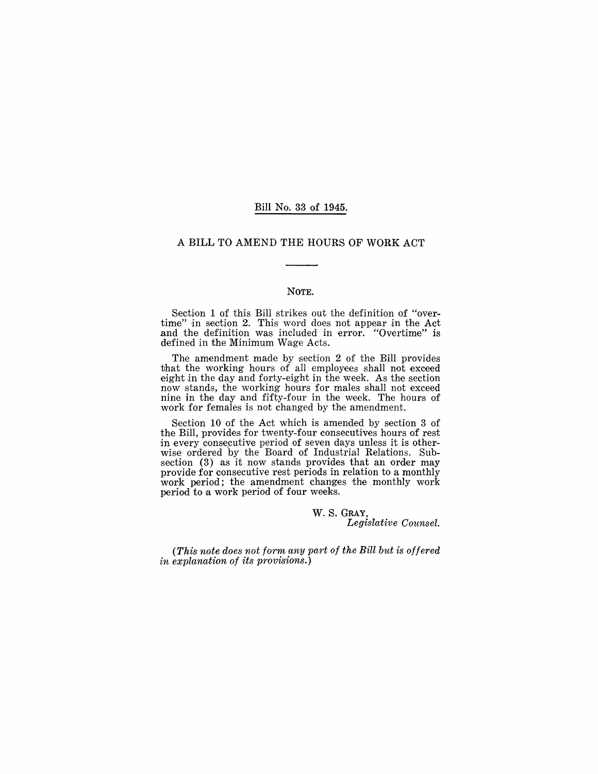### Bill No. 33 of 1945.

### A BILL TO AMEND THE HOURS OF WORK ACT

#### NOTE.

Section 1 of this Bill strikes out the definition of "overtime" in section 2. This word does not appear in the Act and the definition was included in error. "Overtime" is defined in the Minimum Wage Acts.

The amendment made by section 2 of the Bill provides that the working hours of all employees shall not exceed eight in the day and forty-eight in the week. As the section now stands, the working hours for males shall not exceed nine in the day and fifty-four in the week. The hours of work for females is not changed by the amendment.

Section 10 of the Act which is amended by section 3 of the Bill, provides for twenty-four consecutives hours of rest in every consecutive period of seven days unless it is otherwise ordered by the Board of Industrial Relations. Subsection (3) as it now stands provides that an order may provide for consecutive rest periods in relation to a monthly work period; the amendment changes the monthly work period to a work period of four weeks.

> W. S. GRAY, *Legislative Counsel.*

*(This note does not form any part 01 the Bill but is ollered in explanation 01 its provisions.)*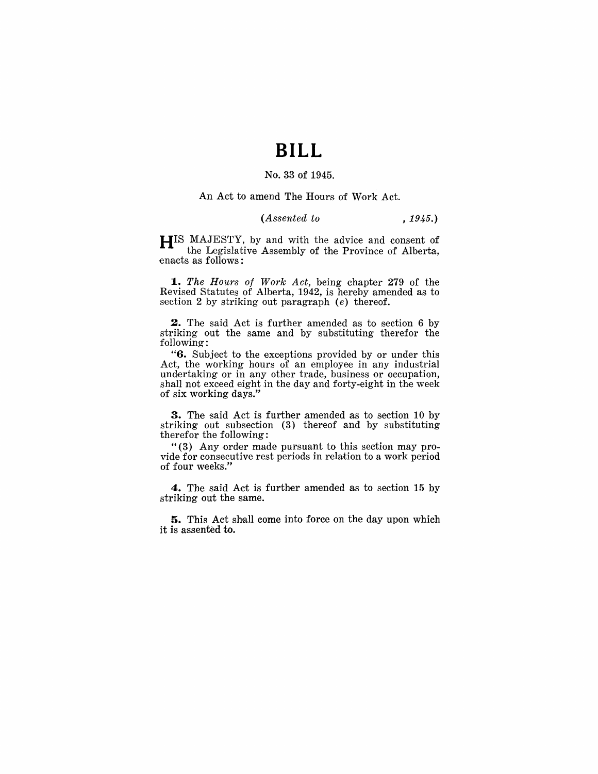# **BILL**

# No. 33 of 1945.

#### An Act to amend The Hours of Work Act.

## *(Assented to* , 1945.)

HIS MAJESTY, by and with the advice and consent of the Legislative Assembly of the Province of Alberta, enacts as follows:

*1. The Hours of Work Act,* being chapter 279 of the Revised Statutes of Alberta, 1942, is hereby amended as to section 2 by striking out paragraph  $(e)$  thereof.

2. The said Act is further amended as to section 6 by striking out the same and by substituting therefor the following:

"6. Subject to the exceptions provided by or under this Act, the working hours of an employee in any industrial undertaking or in any other trade, business or occupation, shall not exceed eight in the day and forty-eight in the week of six working days."

3. The said Act is further amended as to section 10 by striking out subsection (3) thereof and by substituting therefor the following:

" $(3)$  Any order made pursuant to this section may provide for consecutive rest periods in relation to a work period of four weeks."

4. The said Act is further amended as to section 15 by striking out the same.

**5.** This Act shall come into force on the day upon which it is assented to.